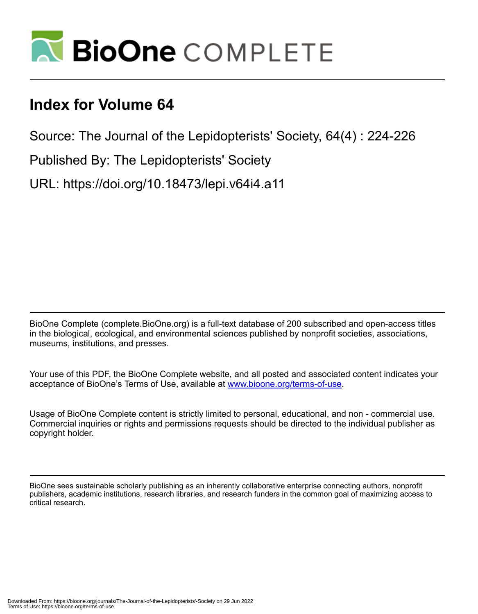

## **Index for Volume 64**

Source: The Journal of the Lepidopterists' Society, 64(4) : 224-226

Published By: The Lepidopterists' Society

URL: https://doi.org/10.18473/lepi.v64i4.a11

BioOne Complete (complete.BioOne.org) is a full-text database of 200 subscribed and open-access titles in the biological, ecological, and environmental sciences published by nonprofit societies, associations, museums, institutions, and presses.

Your use of this PDF, the BioOne Complete website, and all posted and associated content indicates your acceptance of BioOne's Terms of Use, available at www.bioone.org/terms-of-use.

Usage of BioOne Complete content is strictly limited to personal, educational, and non - commercial use. Commercial inquiries or rights and permissions requests should be directed to the individual publisher as copyright holder.

BioOne sees sustainable scholarly publishing as an inherently collaborative enterprise connecting authors, nonprofit publishers, academic institutions, research libraries, and research funders in the common goal of maximizing access to critical research.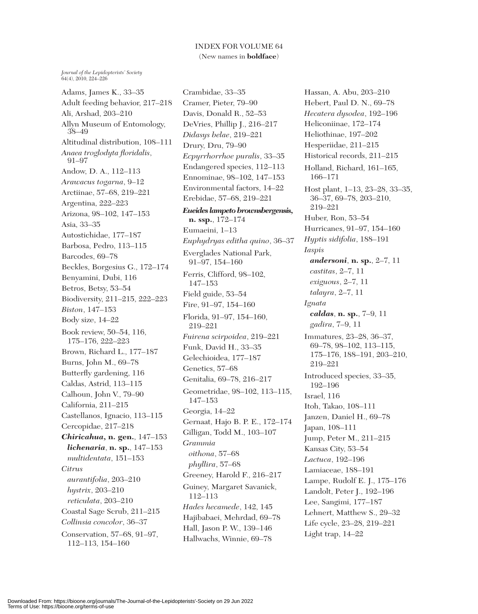*Journal of the Lepidopterists' Society* 64(4), 2010, 224–226

Adams, James K., 33–35 Adult feeding behavior, 217–218 Ali, Arshad, 203–210 Allyn Museum of Entomology, 38–49 Altitudinal distribution, 108–111 *Anaea troglodyta floridalis*, 91–97 Andow, D. A., 112–113 *Arawacus togarna*, 9–12 Arctiinae, 57–68, 219–221 Argentina, 222–223 Arizona, 98–102, 147–153 Asia, 33–35 Autostichidae, 177–187 Barbosa, Pedro, 113–115 Barcodes, 69–78 Beckles, Borgesius G., 172–174 Benyamini, Dubi, 116 Betros, Betsy, 53–54 Biodiversity, 211–215, 222–223 *Biston*, 147–153 Body size, 14–22 Book review, 50–54, 116, 175–176, 222–223 Brown, Richard L., 177–187 Burns, John M., 69–78 Butterfly gardening, 116 Caldas, Astrid, 113–115 Calhoun, John V., 79–90 California, 211–215 Castellanos, Ignacio, 113–115 Cercopidae, 217–218 *Chiricahua,* **n. gen.**, 147–153 *lichenaria*, **n. sp.**, 147–153 *multidentata*, 151–153 *Citrus aurantifolia*, 203–210 *hystrix*, 203–210 *reticulata*, 203–210 Coastal Sage Scrub, 211–215 *Collinsia concolor*, 36–37 Conservation, 57–68, 91–97, 112–113, 154–160

Crambidae, 33–35 Cramer, Pieter, 79–90 Davis, Donald R., 52–53 DeVries, Phillip J., 216–217 *Didasys belae*, 219–221 Drury, Dru, 79–90 *Ecpyrrhorrhoe puralis*, 33–35 Endangered species, 112–113 Ennominae, 98–102, 147–153 Environmental factors, 14–22 Erebidae, 57–68, 219–221 *Eueides lampeto brownsbergensis,* **n. ssp.**, 172–174 Eumaeini, 1–13 *Euphydryas editha quino*, 36–37 Everglades National Park, 91–97, 154–160 Ferris, Clifford, 98–102, 147–153 Field guide, 53–54 Fire, 91–97, 154–160 Florida, 91–97, 154–160, 219–221 *Fuirena scirpoidea*, 219–221 Funk, David H., 33–35 Gelechioidea, 177–187 Genetics, 57–68 Genitalia, 69–78, 216–217 Geometridae, 98–102, 113–115, 147–153 Georgia, 14–22 Gernaat, Hajo B. P. E., 172–174 Gilligan, Todd M., 103–107 *Grammia oithona*, 57–68 *phyllira*, 57–68 Greeney, Harold F., 216–217 Guiney, Margaret Savanick, 112–113 *Hades hecamede*, 142, 145 Hajibabaei, Mehrdad, 69–78 Hall, Jason P. W., 139–146 Hallwachs, Winnie, 69–78

Hassan, A. Abu, 203–210 Hebert, Paul D. N., 69–78 *Hecatera dysodea*, 192–196 Heliconiinae, 172–174 Heliothinae, 197–202 Hesperiidae, 211–215 Historical records, 211–215 Holland, Richard, 161–165, 166–171 Host plant, 1–13, 23–28, 33–35, 36–37, 69–78, 203–210, 219–221 Huber, Ron, 53–54 Hurricanes, 91–97, 154–160 *Hyptis sidifolia*, 188–191 *Iaspis andersoni*, **n. sp.**, 2–7, 11 *castitas*, 2–7, 11 *exiguous*, 2–7, 11 *talayra*, 2–7, 11 *Ignata caldas*, **n. sp.**, 7–9, 11 *gadira*, 7–9, 11 Immatures, 23–28, 36–37, 69–78, 98–102, 113–115, 175–176, 188–191, 203–210, 219–221 Introduced species, 33–35, 192–196 Israel, 116 Itoh, Takao, 108–111 Janzen, Daniel H., 69–78 Japan, 108–111 Jump, Peter M., 211–215 Kansas City, 53–54 *Lactuca*, 192–196 Lamiaceae, 188–191 Lampe, Rudolf E. J., 175–176 Landolt, Peter J., 192–196 Lee, Sangimi, 177–187 Lehnert, Matthew S., 29–32 Life cycle, 23–28, 219–221 Light trap, 14–22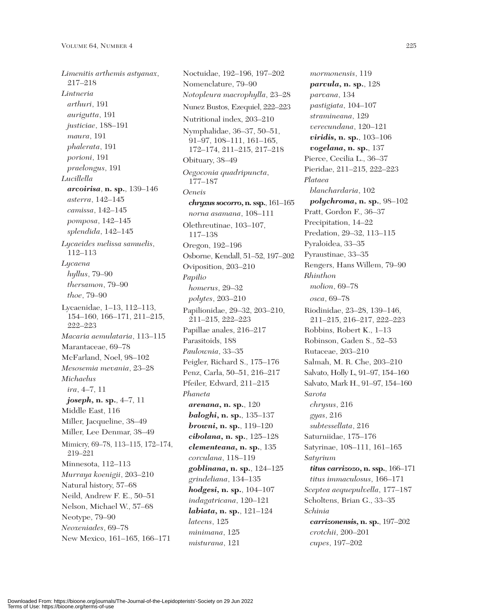*Limenitis arthemis astyanax*, 217–218 *Lintneria arthuri*, 191 *aurigutta*, 191 *justiciae*, 188–191 *maura*, 191 *phalerata*, 191 *porioni*, 191 *praelongus*, 191 *Lucillella arcoirisa*, **n. sp.**, 139–146 *asterra*, 142–145 *camissa*, 142–145 *pomposa*, 142–145 *splendida*, 142–145 *Lycaeides melissa samuelis*, 112–113 *Lycaena hyllus*, 79–90 *thersamon*, 79–90 *thoe*, 79–90 Lycaenidae, 1–13, 112–113, 154–160, 166–171, 211–215, 222–223 *Macaria aemulataria*, 113–115 Marantaceae, 69–78 McFarland, Noel, 98–102 *Mesosemia mevania*, 23–28 *Michaelus ira*, 4–7, 11 *joseph,* **n. sp.**, 4–7, 11 Middle East, 116 Miller, Jacqueline, 38–49 Miller, Lee Denmar, 38–49 Mimicry, 69–78, 113–115, 172–174, 219–221 Minnesota, 112–113 *Murraya koenigii*, 203–210 Natural history, 57–68 Neild, Andrew F. E., 50–51 Nelson, Michael W., 57–68 Neotype, 79–90 *Neoxeniades*, 69–78 New Mexico, 161–165, 166–171

Noctuidae, 192–196, 197–202 Nomenclature, 79–90 *Notopleura macrophylla*, 23–28 Nunez Bustos, Ezequiel, 222–223 Nutritional index, 203–210 Nymphalidae, 36–37, 50–51, 91–97, 108–111, 161–165, 172–174, 211–215, 217–218 Obituary, 38–49 *Oegoconia quadripuncta*, 177–187 *Oeneis chryxus socorro,***n. ssp.**, 161–165 *norna asamana*, 108–111 Olethreutinae, 103–107, 117–138 Oregon, 192–196 Osborne, Kendall, 51–52, 197–202 Oviposition, 203–210 *Papilio homerus*, 29–32 *polytes*, 203–210 Papilionidae, 29–32, 203–210, 211–215, 222–223 Papillae anales, 216–217 Parasitoids, 188 *Paulownia*, 33–35 Peigler, Richard S., 175–176 Penz, Carla, 50–51, 216–217 Pfeiler, Edward, 211–215 *Phaneta arenana,* **n. sp.**, 120 *baloghi,* **n. sp.**, 135–137 *browni,* **n. sp.**, 119–120 *cibolana,* **n. sp.**, 125–128 *clementeana,* **n. sp.**, 135 *corculana*, 118–119 *goblinana,* **n. sp.**, 124–125 *grindeliana*, 134–135 *hodgesi,* **n. sp.**, 104–107 *indagatricana*, 120–121 *labiata,* **n. sp.**, 121–124 *lateens*, 125 *minimana*, 125 *misturana*, 121

*mormonensis*, 119 *parvula,* **n. sp.**, 128 *parvana*, 134 *pastigiata*, 104–107 *stramineana*, 129 *verecundana*, 120–121 *viridis,* **n. sp.**, 103–106 *vogelana,* **n. sp.**, 137 Pierce, Cecilia L., 36–37 Pieridae, 211–215, 222–223 *Plataea blanchardaria*, 102 *polychroma,* **n. sp.**, 98–102 Pratt, Gordon F., 36–37 Precipitation, 14–22 Predation, 29–32, 113–115 Pyraloidea, 33–35 Pyraustinae, 33–35 Rengers, Hans Willem, 79–90 *Rhinthon molion*, 69–78 *osca*, 69–78 Riodinidae, 23–28, 139–146, 211–215, 216–217, 222–223 Robbins, Robert K., 1–13 Robinson, Gaden S., 52–53 Rutaceae, 203–210 Salmah, M. R. Che, 203–210 Salvato, Holly L, 91–97, 154–160 Salvato, Mark H., 91–97, 154–160 *Sarota chrysus*, 216 *gyas*, 216 *subtessellata*, 216 Saturniidae, 175–176 Satyrinae, 108–111, 161–165 *Satyrium titus carrizozo,* **n. ssp.**, 166–171 *titus immaculosus*, 166–171 *Sceptea aequepulvella*, 177–187 Scholtens, Brian G., 33–35 *Schinia carrizonensis,* **n. sp.**, 197–202 *crotchii*, 200–201 *cupes*, 197–202